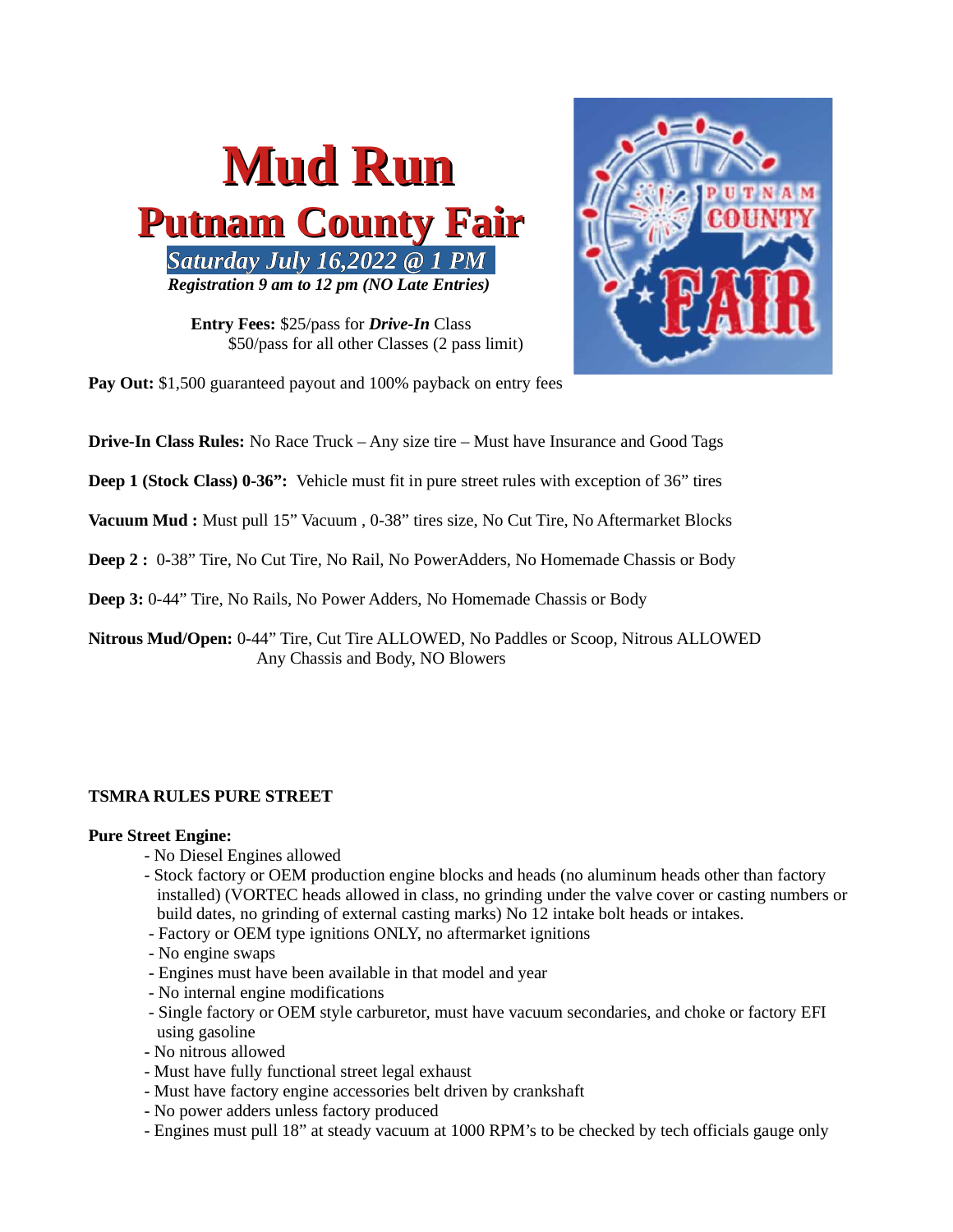

Entry Fees: \$25/pass for Drive-In Class \$50/pass for all other Classes (2 pass limit)



Pay Out: \$1,500 guaranteed payout and 100% payback on entry fees

**Drive-In Class Rules:** No Race Truck – Any size tire – Must have Insurance and Good Tags

Deep 1 (Stock Class) 0-36": Vehicle must fit in pure street rules with exception of 36" tires

Vacuum Mud : Must pull 15" Vacuum, 0-38" tires size, No Cut Tire, No Aftermarket Blocks

Deep 2 : 0-38" Tire, No Cut Tire, No Rail, No PowerAdders, No Homemade Chassis or Body

Deep 3: 0-44" Tire, No Rails, No Power Adders, No Homemade Chassis or Body

Nitrous Mud/Open: 0-44" Tire, Cut Tire ALLOWED, No Paddles or Scoop, Nitrous ALLOWED Any Chassis and Body, NO Blowers

## TSMRA RULES PURE STREET

#### Pure Street Engine:

- No Diesel Engines allowed
- Stock factory or OEM production engine blocks and heads (no aluminum heads other than factory installed) (VORTEC heads allowed in class, no grinding under the valve cover or casting numbers or build dates, no grinding of external casting marks) No 12 intake bolt heads or intakes.
- Factory or OEM type ignitions ONLY, no aftermarket ignitions
- No engine swaps
- Engines must have been available in that model and year
- No internal engine modifications
- Single factory or OEM style carburetor, must have vacuum secondaries, and choke or factory EFI using gasoline
- No nitrous allowed
- Must have fully functional street legal exhaust
- Must have factory engine accessories belt driven by crankshaft
- No power adders unless factory produced
- Engines must pull 18" at steady vacuum at 1000 RPM's to be checked by tech officials gauge only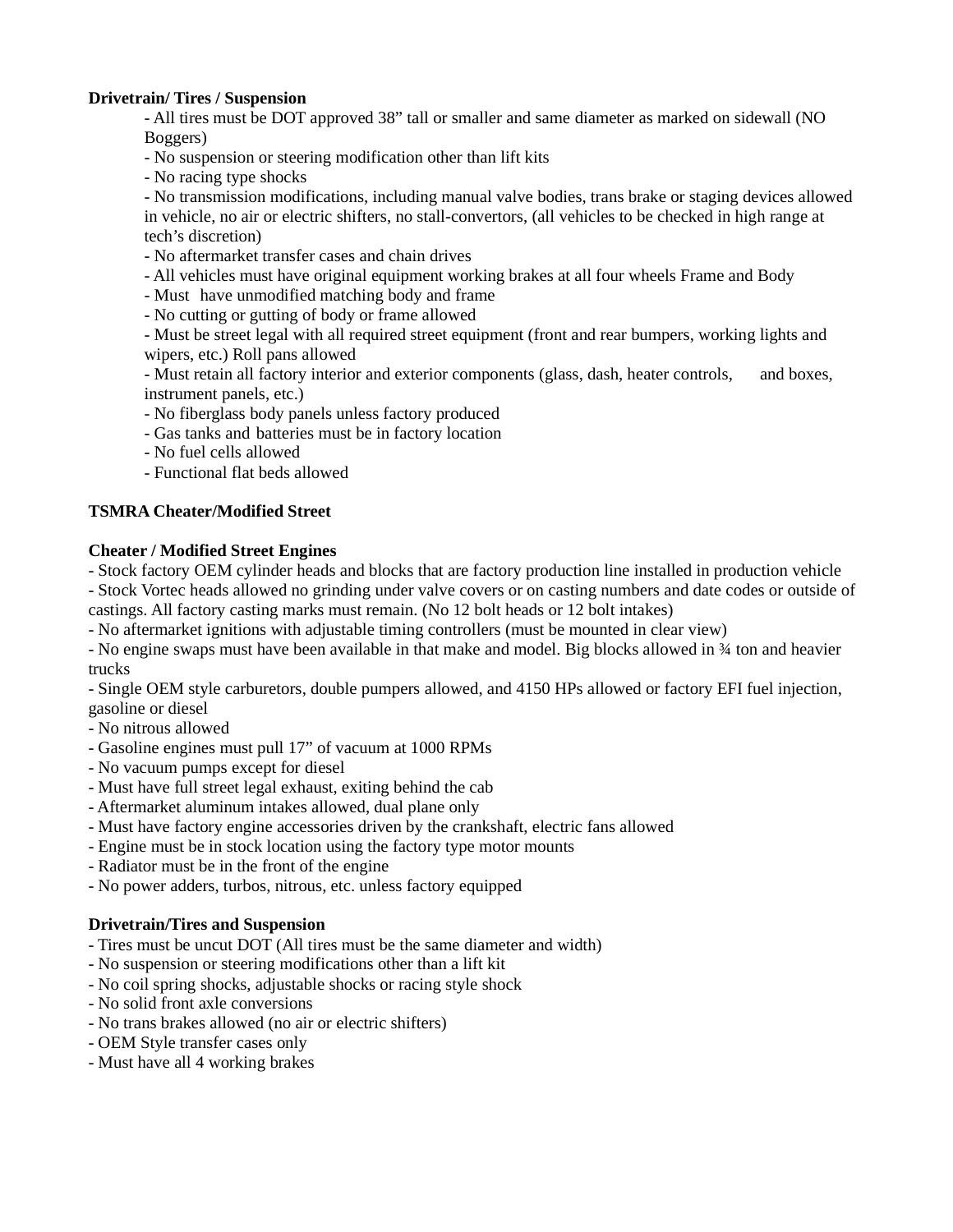# Drivetrain/ Tires / Suspension

- All tires must be DOT approved 38" tall or smaller and same diameter as marked on sidewall (NO Boggers)

- No suspension or steering modification other than lift kits

- No racing type shocks

- No transmission modifications, including manual valve bodies, trans brake or staging devices allowed in vehicle, no air or electric shifters, no stall-convertors, (all vehicles to be checked in high range at tech's discretion)

- No aftermarket transfer cases and chain drives
- All vehicles must have original equipment working brakes at all four wheels Frame and Body
- Must have unmodified matching body and frame
- No cutting or gutting of body or frame allowed

- Must be street legal with all required street equipment (front and rear bumpers, working lights and wipers, etc.) Roll pans allowed

- Must retain all factory interior and exterior components (glass, dash, heater controls, and boxes, instrument panels, etc.)

- No fiberglass body panels unless factory produced
- Gas tanks and batteries must be in factory location
- No fuel cells allowed
- Functional flat beds allowed

### TSMRA Cheater/Modified Street

#### Cheater / Modified Street Engines

- Stock factory OEM cylinder heads and blocks that are factory production line installed in production vehicle - Stock Vortec heads allowed no grinding under valve covers or on casting numbers and date codes or outside of castings. All factory casting marks must remain. (No 12 bolt heads or 12 bolt intakes)

- No aftermarket ignitions with adjustable timing controllers (must be mounted in clear view)

- No engine swaps must have been available in that make and model. Big blocks allowed in ¾ ton and heavier trucks

- Single OEM style carburetors, double pumpers allowed, and 4150 HPs allowed or factory EFI fuel injection, gasoline or diesel

- No nitrous allowed
- Gasoline engines must pull 17" of vacuum at 1000 RPMs
- No vacuum pumps except for diesel
- Must have full street legal exhaust, exiting behind the cab
- Aftermarket aluminum intakes allowed, dual plane only
- Must have factory engine accessories driven by the crankshaft, electric fans allowed
- Engine must be in stock location using the factory type motor mounts
- Radiator must be in the front of the engine
- No power adders, turbos, nitrous, etc. unless factory equipped

### Drivetrain/Tires and Suspension

- Tires must be uncut DOT (All tires must be the same diameter and width)
- No suspension or steering modifications other than a lift kit
- No coil spring shocks, adjustable shocks or racing style shock
- No solid front axle conversions
- No trans brakes allowed (no air or electric shifters)
- OEM Style transfer cases only
- Must have all 4 working brakes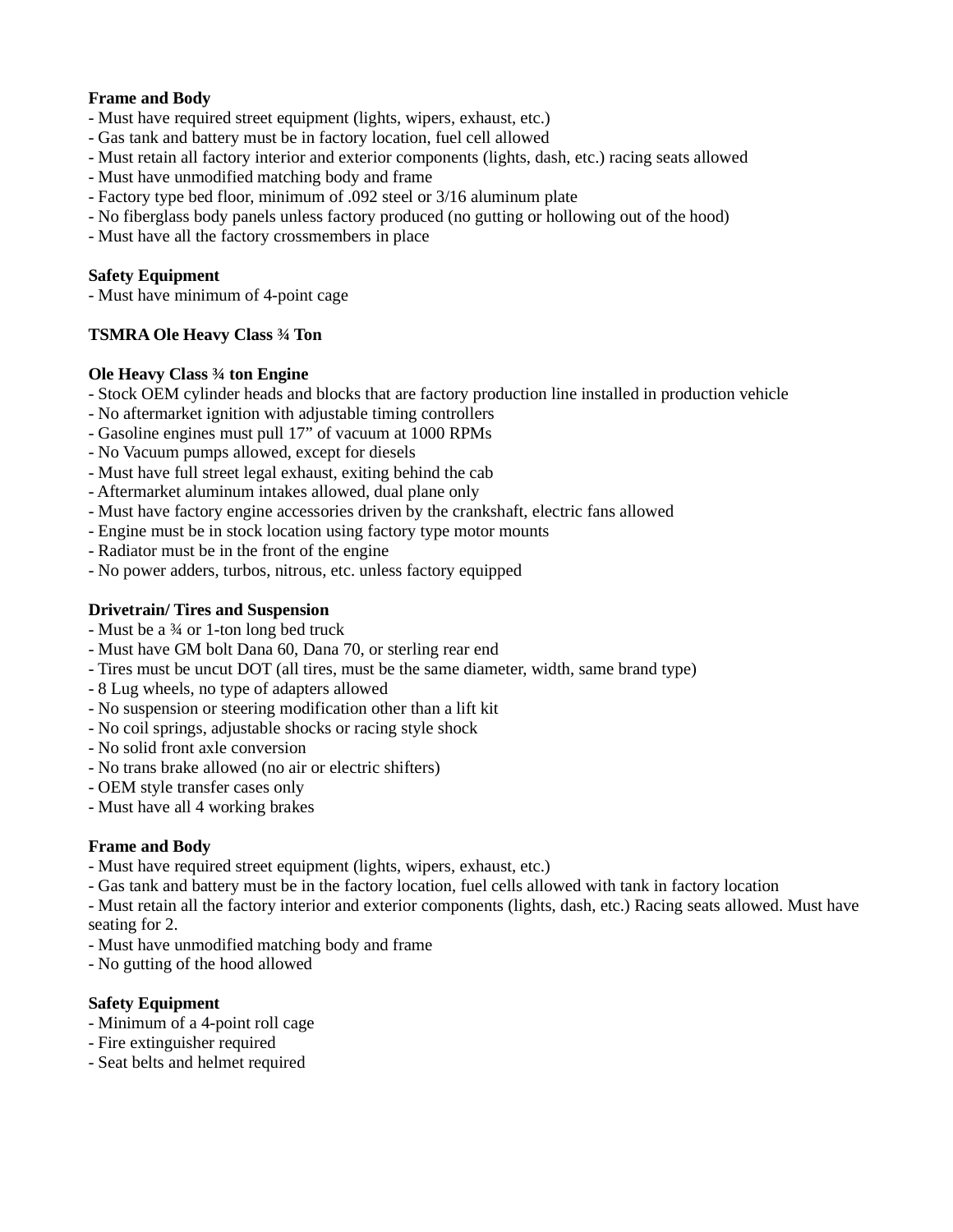## Frame and Body

- Must have required street equipment (lights, wipers, exhaust, etc.)
- Gas tank and battery must be in factory location, fuel cell allowed
- Must retain all factory interior and exterior components (lights, dash, etc.) racing seats allowed
- Must have unmodified matching body and frame
- Factory type bed floor, minimum of .092 steel or 3/16 aluminum plate
- No fiberglass body panels unless factory produced (no gutting or hollowing out of the hood)
- Must have all the factory crossmembers in place

### Safety Equipment

- Must have minimum of 4-point cage

## TSMRA Ole Heavy Class ¾ Ton

### Ole Heavy Class ¾ ton Engine

- Stock OEM cylinder heads and blocks that are factory production line installed in production vehicle
- No aftermarket ignition with adjustable timing controllers
- Gasoline engines must pull 17" of vacuum at 1000 RPMs
- No Vacuum pumps allowed, except for diesels
- Must have full street legal exhaust, exiting behind the cab
- Aftermarket aluminum intakes allowed, dual plane only
- Must have factory engine accessories driven by the crankshaft, electric fans allowed
- Engine must be in stock location using factory type motor mounts
- Radiator must be in the front of the engine
- No power adders, turbos, nitrous, etc. unless factory equipped

## Drivetrain/ Tires and Suspension

- Must be a ¾ or 1-ton long bed truck
- Must have GM bolt Dana 60, Dana 70, or sterling rear end
- Tires must be uncut DOT (all tires, must be the same diameter, width, same brand type)
- 8 Lug wheels, no type of adapters allowed
- No suspension or steering modification other than a lift kit
- No coil springs, adjustable shocks or racing style shock
- No solid front axle conversion
- No trans brake allowed (no air or electric shifters)
- OEM style transfer cases only
- Must have all 4 working brakes

## Frame and Body

- Must have required street equipment (lights, wipers, exhaust, etc.)
- Gas tank and battery must be in the factory location, fuel cells allowed with tank in factory location

- Must retain all the factory interior and exterior components (lights, dash, etc.) Racing seats allowed. Must have seating for 2.

- Must have unmodified matching body and frame
- No gutting of the hood allowed

## Safety Equipment

- Minimum of a 4-point roll cage
- Fire extinguisher required
- Seat belts and helmet required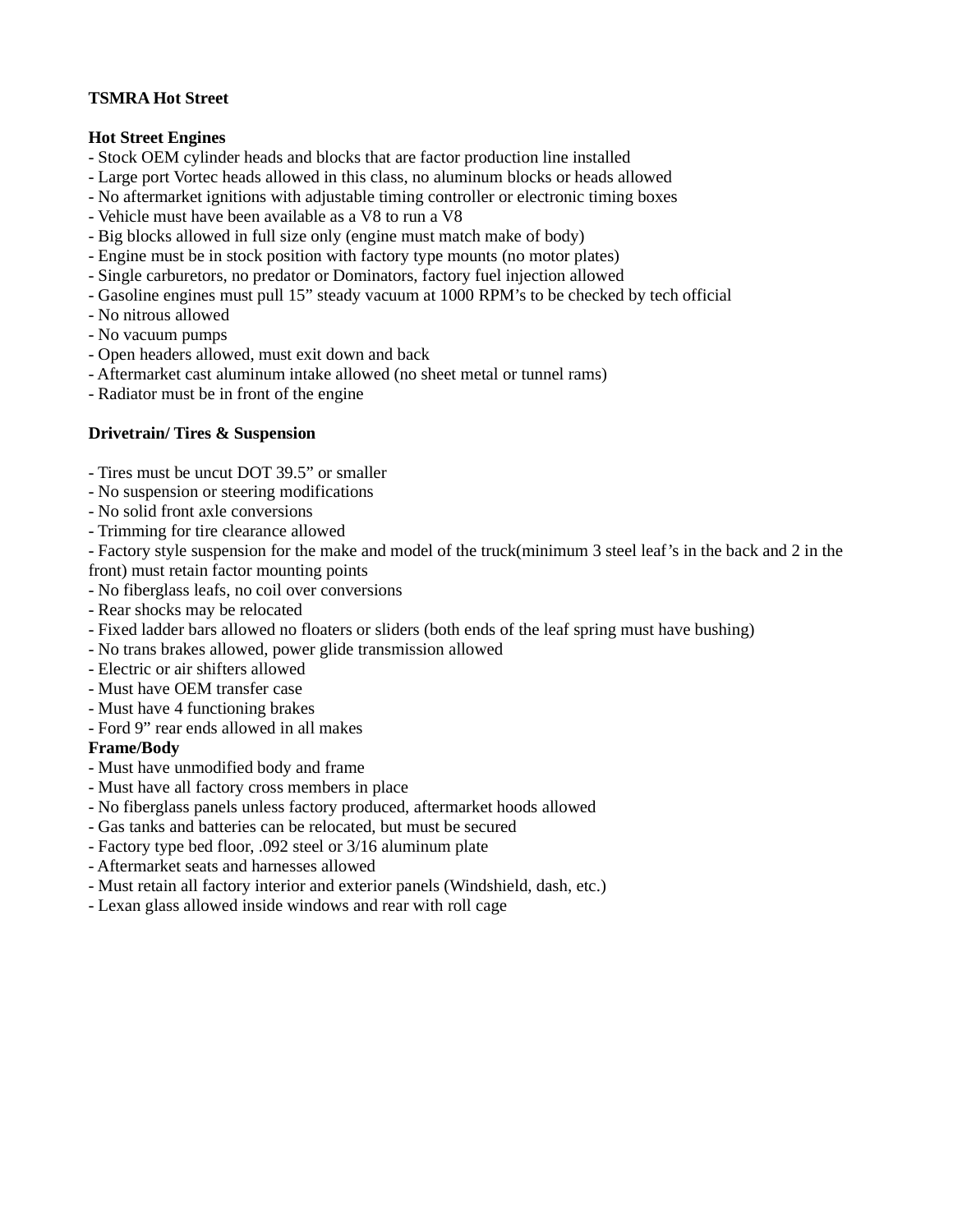### TSMRA Hot Street

### Hot Street Engines

- Stock OEM cylinder heads and blocks that are factor production line installed
- Large port Vortec heads allowed in this class, no aluminum blocks or heads allowed
- No aftermarket ignitions with adjustable timing controller or electronic timing boxes
- Vehicle must have been available as a V8 to run a V8
- Big blocks allowed in full size only (engine must match make of body)
- Engine must be in stock position with factory type mounts (no motor plates)
- Single carburetors, no predator or Dominators, factory fuel injection allowed
- Gasoline engines must pull 15" steady vacuum at 1000 RPM's to be checked by tech official
- No nitrous allowed
- No vacuum pumps
- Open headers allowed, must exit down and back
- Aftermarket cast aluminum intake allowed (no sheet metal or tunnel rams)
- Radiator must be in front of the engine

## Drivetrain/ Tires & Suspension

- Tires must be uncut DOT 39.5" or smaller
- No suspension or steering modifications
- No solid front axle conversions
- Trimming for tire clearance allowed

- Factory style suspension for the make and model of the truck(minimum 3 steel leaf's in the back and 2 in the front) must retain factor mounting points

- No fiberglass leafs, no coil over conversions
- Rear shocks may be relocated
- Fixed ladder bars allowed no floaters or sliders (both ends of the leaf spring must have bushing)
- No trans brakes allowed, power glide transmission allowed
- Electric or air shifters allowed
- Must have OEM transfer case
- Must have 4 functioning brakes
- Ford 9" rear ends allowed in all makes

#### Frame/Body

- Must have unmodified body and frame
- Must have all factory cross members in place
- No fiberglass panels unless factory produced, aftermarket hoods allowed
- Gas tanks and batteries can be relocated, but must be secured
- Factory type bed floor, .092 steel or 3/16 aluminum plate
- Aftermarket seats and harnesses allowed
- Must retain all factory interior and exterior panels (Windshield, dash, etc.)
- Lexan glass allowed inside windows and rear with roll cage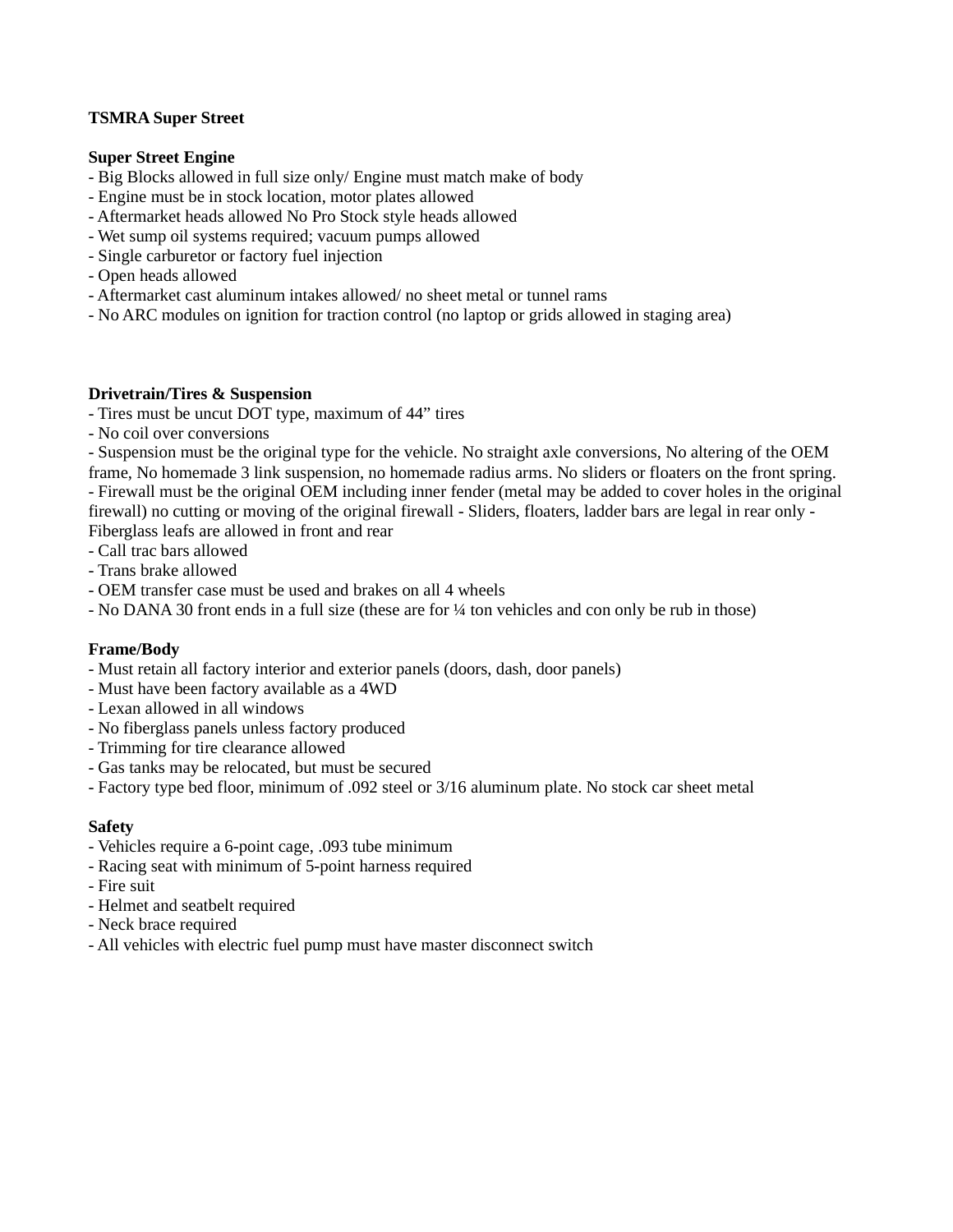### TSMRA Super Street

#### Super Street Engine

- Big Blocks allowed in full size only/ Engine must match make of body
- Engine must be in stock location, motor plates allowed
- Aftermarket heads allowed No Pro Stock style heads allowed
- Wet sump oil systems required; vacuum pumps allowed
- Single carburetor or factory fuel injection
- Open heads allowed
- Aftermarket cast aluminum intakes allowed/ no sheet metal or tunnel rams
- No ARC modules on ignition for traction control (no laptop or grids allowed in staging area)

### Drivetrain/Tires & Suspension

- Tires must be uncut DOT type, maximum of 44" tires
- No coil over conversions

- Suspension must be the original type for the vehicle. No straight axle conversions, No altering of the OEM frame, No homemade 3 link suspension, no homemade radius arms. No sliders or floaters on the front spring.

- Firewall must be the original OEM including inner fender (metal may be added to cover holes in the original firewall) no cutting or moving of the original firewall - Sliders, floaters, ladder bars are legal in rear only -Fiberglass leafs are allowed in front and rear

- Call trac bars allowed
- Trans brake allowed
- OEM transfer case must be used and brakes on all 4 wheels
- No DANA 30 front ends in a full size (these are for ¼ ton vehicles and con only be rub in those)

#### Frame/Body

- Must retain all factory interior and exterior panels (doors, dash, door panels)
- Must have been factory available as a 4WD
- Lexan allowed in all windows
- No fiberglass panels unless factory produced
- Trimming for tire clearance allowed
- Gas tanks may be relocated, but must be secured
- Factory type bed floor, minimum of .092 steel or 3/16 aluminum plate. No stock car sheet metal

#### Safety

- Vehicles require a 6-point cage, .093 tube minimum
- Racing seat with minimum of 5-point harness required
- Fire suit
- Helmet and seatbelt required
- Neck brace required
- All vehicles with electric fuel pump must have master disconnect switch